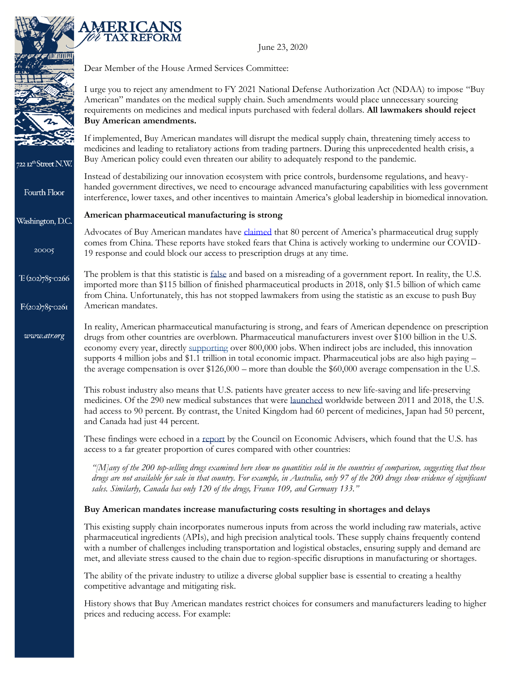



722 12<sup>th</sup>Street N.W.

Fourth Floor

Washington, D.C.

20005

www.atr.org

Dear Member of the House Armed Services Committee:

I urge you to reject any amendment to FY 2021 National Defense Authorization Act (NDAA) to impose "Buy American" mandates on the medical supply chain. Such amendments would place unnecessary sourcing requirements on medicines and medical inputs purchased with federal dollars. **All lawmakers should reject Buy American amendments.** 

If implemented, Buy American mandates will disrupt the medical supply chain, threatening timely access to medicines and leading to retaliatory actions from trading partners. During this unprecedented health crisis, a Buy American policy could even threaten our ability to adequately respond to the pandemic.

Instead of destabilizing our innovation ecosystem with price controls, burdensome regulations, and heavyhanded government directives, we need to encourage advanced manufacturing capabilities with less government interference, lower taxes, and other incentives to maintain America's global leadership in biomedical innovation.

## **American pharmaceutical manufacturing is strong**

Advocates of Buy American mandates have claimed that 80 percent of America's pharmaceutical drug supply comes from China. These reports have stoked fears that China is actively working to undermine our COVID-19 response and could block our access to prescription drugs at any time.

The problem is that this statistic is false and based on a misreading of a government report. In reality, the U.S.  $T:(202)785$ <sup>-</sup>0266 imported more than \$115 billion of finished pharmaceutical products in 2018, only \$1.5 billion of which came from China. Unfortunately, this has not stopped lawmakers from using the statistic as an excuse to push Buy American mandates.  $F:(202)785$ <sup>-0261</sup>

> In reality, American pharmaceutical manufacturing is strong, and fears of American dependence on prescription drugs from other countries are overblown. Pharmaceutical manufacturers invest over \$100 billion in the U.S. economy every year, directly supporting over 800,000 jobs. When indirect jobs are included, this innovation supports 4 million jobs and \$1.1 trillion in total economic impact. Pharmaceutical jobs are also high paying – the average compensation is over \$126,000 – more than double the \$60,000 average compensation in the U.S.

This robust industry also means that U.S. patients have greater access to new life-saving and life-preserving medicines. Of the 290 new medical substances that were launched worldwide between 2011 and 2018, the U.S. had access to 90 percent. By contrast, the United Kingdom had 60 percent of medicines, Japan had 50 percent, and Canada had just 44 percent.

These findings were echoed in a report by the Council on Economic Advisers, which found that the U.S. has access to a far greater proportion of cures compared with other countries:

"[M]any of the 200 top-selling drugs examined here show no quantities sold in the countries of comparison, suggesting that those drugs are not available for sale in that country. For example, in Australia, only 97 of the 200 drugs show evidence of significant *sales. Similarly, Canada has only 120 of the drugs, France 109, and Germany 133."*

## **Buy American mandates increase manufacturing costs resulting in shortages and delays**

This existing supply chain incorporates numerous inputs from across the world including raw materials, active pharmaceutical ingredients (APIs), and high precision analytical tools. These supply chains frequently contend with a number of challenges including transportation and logistical obstacles, ensuring supply and demand are met, and alleviate stress caused to the chain due to region-specific disruptions in manufacturing or shortages.

The ability of the private industry to utilize a diverse global supplier base is essential to creating a healthy competitive advantage and mitigating risk.

History shows that Buy American mandates restrict choices for consumers and manufacturers leading to higher prices and reducing access. For example: